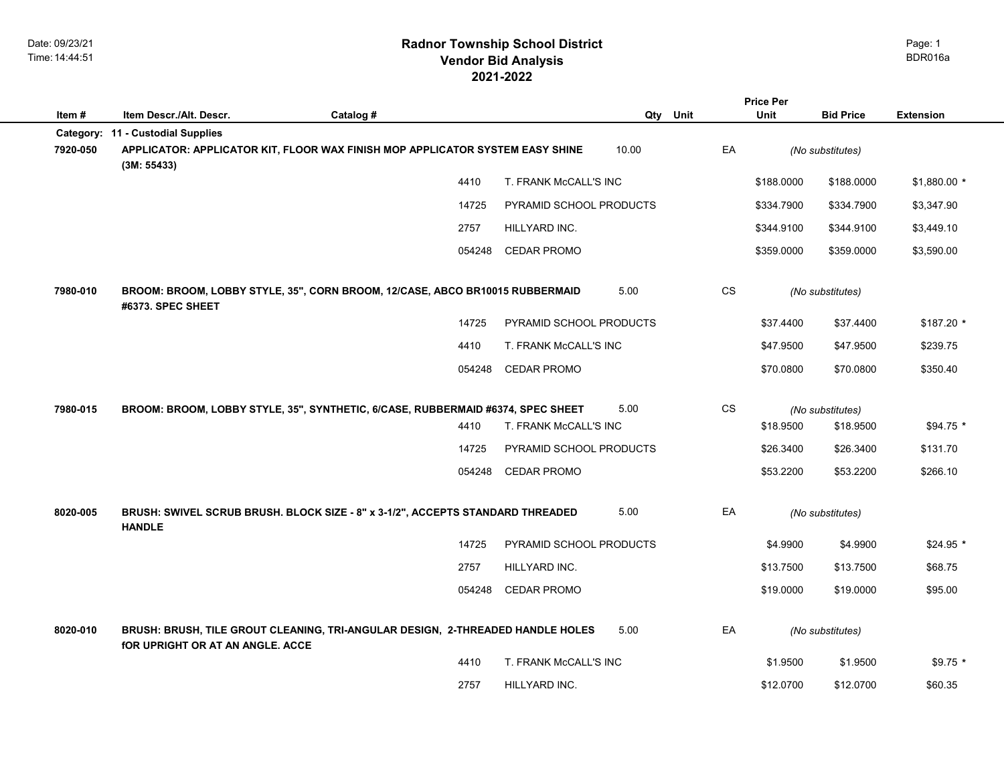|          |                                         |                                                                                 |                         |       |           | <b>Price Per</b> |                  |                  |
|----------|-----------------------------------------|---------------------------------------------------------------------------------|-------------------------|-------|-----------|------------------|------------------|------------------|
| Item#    | Item Descr./Alt. Descr.                 | Catalog #                                                                       |                         |       | Qty Unit  | <b>Unit</b>      | <b>Bid Price</b> | <b>Extension</b> |
|          | Category: 11 - Custodial Supplies       |                                                                                 |                         |       |           |                  |                  |                  |
| 7920-050 | (3M: 55433)                             | APPLICATOR: APPLICATOR KIT, FLOOR WAX FINISH MOP APPLICATOR SYSTEM EASY SHINE   |                         | 10.00 | EA        |                  | (No substitutes) |                  |
|          |                                         | 4410                                                                            | T. FRANK McCALL'S INC   |       |           | \$188.0000       | \$188.0000       | $$1,880.00*$     |
|          |                                         | 14725                                                                           | PYRAMID SCHOOL PRODUCTS |       |           | \$334.7900       | \$334.7900       | \$3,347.90       |
|          |                                         | 2757                                                                            | HILLYARD INC.           |       |           | \$344.9100       | \$344.9100       | \$3,449.10       |
|          |                                         | 054248                                                                          | <b>CEDAR PROMO</b>      |       |           | \$359.0000       | \$359.0000       | \$3,590.00       |
| 7980-010 | #6373. SPEC SHEET                       | BROOM: BROOM, LOBBY STYLE, 35", CORN BROOM, 12/CASE, ABCO BR10015 RUBBERMAID    |                         | 5.00  | <b>CS</b> |                  | (No substitutes) |                  |
|          |                                         | 14725                                                                           | PYRAMID SCHOOL PRODUCTS |       |           | \$37.4400        | \$37.4400        | $$187.20$ *      |
|          |                                         | 4410                                                                            | T. FRANK McCALL'S INC   |       |           | \$47.9500        | \$47.9500        | \$239.75         |
|          |                                         | 054248                                                                          | <b>CEDAR PROMO</b>      |       |           | \$70.0800        | \$70.0800        | \$350.40         |
| 7980-015 |                                         | BROOM: BROOM, LOBBY STYLE, 35", SYNTHETIC, 6/CASE, RUBBERMAID #6374, SPEC SHEET |                         | 5.00  | CS        |                  | (No substitutes) |                  |
|          |                                         | 4410                                                                            | T. FRANK McCALL'S INC   |       |           | \$18.9500        | \$18.9500        | \$94.75 *        |
|          |                                         | 14725                                                                           | PYRAMID SCHOOL PRODUCTS |       |           | \$26.3400        | \$26.3400        | \$131.70         |
|          |                                         | 054248                                                                          | <b>CEDAR PROMO</b>      |       |           | \$53.2200        | \$53.2200        | \$266.10         |
| 8020-005 | <b>HANDLE</b>                           | BRUSH: SWIVEL SCRUB BRUSH. BLOCK SIZE - 8" x 3-1/2", ACCEPTS STANDARD THREADED  |                         | 5.00  | EA        |                  | (No substitutes) |                  |
|          |                                         | 14725                                                                           | PYRAMID SCHOOL PRODUCTS |       |           | \$4.9900         | \$4.9900         | $$24.95$ *       |
|          |                                         | 2757                                                                            | HILLYARD INC.           |       |           | \$13.7500        | \$13.7500        | \$68.75          |
|          |                                         | 054248                                                                          | <b>CEDAR PROMO</b>      |       |           | \$19.0000        | \$19.0000        | \$95.00          |
| 8020-010 | <b>fOR UPRIGHT OR AT AN ANGLE. ACCE</b> | BRUSH: BRUSH, TILE GROUT CLEANING, TRI-ANGULAR DESIGN, 2-THREADED HANDLE HOLES  |                         | 5.00  | EA        |                  | (No substitutes) |                  |
|          |                                         | 4410                                                                            | T. FRANK McCALL'S INC   |       |           | \$1.9500         | \$1.9500         | $$9.75$ *        |
|          |                                         | 2757                                                                            | HILLYARD INC.           |       |           | \$12.0700        | \$12.0700        | \$60.35          |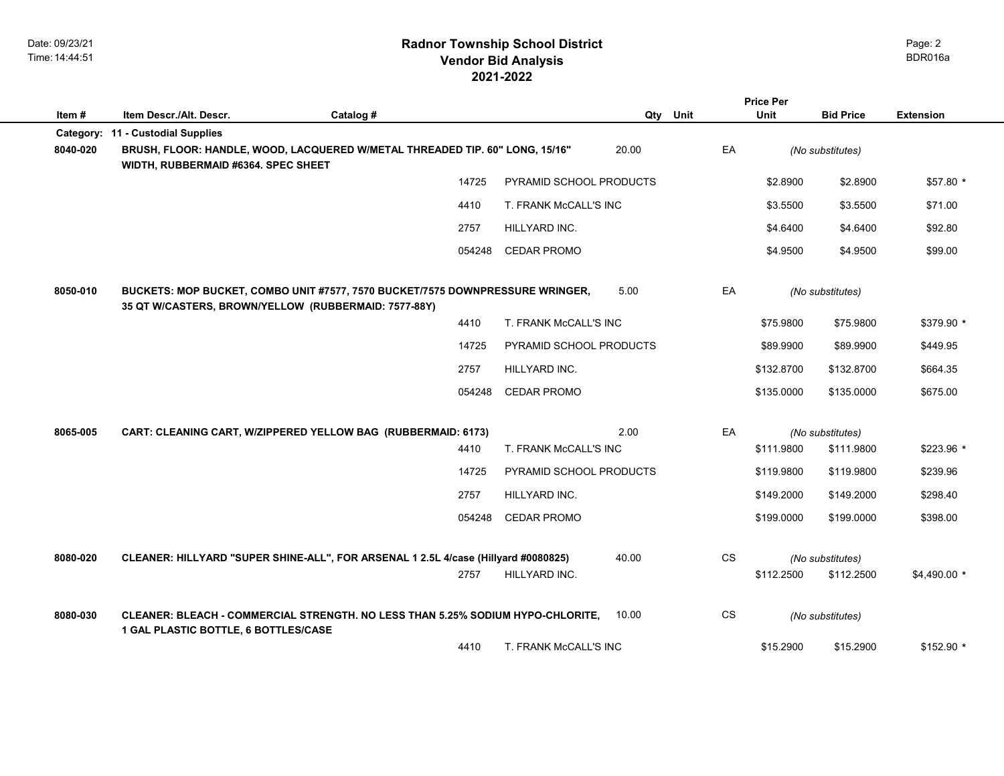# **2021-2022 Radnor Township School District Vendor Bid Analysis** BDR016a

|          |                                                                                                                                       |           |        |                         |       |           | <b>Price Per</b> |                  |                  |
|----------|---------------------------------------------------------------------------------------------------------------------------------------|-----------|--------|-------------------------|-------|-----------|------------------|------------------|------------------|
| Item#    | Item Descr./Alt. Descr.                                                                                                               | Catalog # |        |                         | Qty   | Unit      | <b>Unit</b>      | <b>Bid Price</b> | <b>Extension</b> |
|          | Category: 11 - Custodial Supplies                                                                                                     |           |        |                         |       |           |                  |                  |                  |
| 8040-020 | BRUSH, FLOOR: HANDLE, WOOD, LACQUERED W/METAL THREADED TIP. 60" LONG, 15/16"<br>WIDTH, RUBBERMAID #6364. SPEC SHEET                   |           |        |                         | 20.00 | EA        |                  | (No substitutes) |                  |
|          |                                                                                                                                       |           | 14725  | PYRAMID SCHOOL PRODUCTS |       |           | \$2.8900         | \$2.8900         | \$57.80 *        |
|          |                                                                                                                                       |           | 4410   | T. FRANK McCALL'S INC   |       |           | \$3.5500         | \$3.5500         | \$71.00          |
|          |                                                                                                                                       |           | 2757   | HILLYARD INC.           |       |           | \$4.6400         | \$4.6400         | \$92.80          |
|          |                                                                                                                                       |           | 054248 | <b>CEDAR PROMO</b>      |       |           | \$4.9500         | \$4.9500         | \$99.00          |
| 8050-010 | BUCKETS: MOP BUCKET, COMBO UNIT #7577, 7570 BUCKET/7575 DOWNPRESSURE WRINGER,<br>35 QT W/CASTERS, BROWN/YELLOW (RUBBERMAID: 7577-88Y) |           |        |                         | 5.00  | EA        |                  | (No substitutes) |                  |
|          |                                                                                                                                       |           | 4410   | T. FRANK McCALL'S INC   |       |           | \$75,9800        | \$75.9800        | \$379.90 *       |
|          |                                                                                                                                       |           | 14725  | PYRAMID SCHOOL PRODUCTS |       |           | \$89.9900        | \$89.9900        | \$449.95         |
|          |                                                                                                                                       |           | 2757   | HILLYARD INC.           |       |           | \$132.8700       | \$132.8700       | \$664.35         |
|          |                                                                                                                                       |           | 054248 | <b>CEDAR PROMO</b>      |       |           | \$135.0000       | \$135,0000       | \$675.00         |
| 8065-005 | CART: CLEANING CART, W/ZIPPERED YELLOW BAG (RUBBERMAID: 6173)                                                                         |           |        |                         | 2.00  | EA        |                  | (No substitutes) |                  |
|          |                                                                                                                                       |           | 4410   | T. FRANK McCALL'S INC   |       |           | \$111.9800       | \$111.9800       | \$223.96 *       |
|          |                                                                                                                                       |           | 14725  | PYRAMID SCHOOL PRODUCTS |       |           | \$119.9800       | \$119.9800       | \$239.96         |
|          |                                                                                                                                       |           | 2757   | HILLYARD INC.           |       |           | \$149.2000       | \$149.2000       | \$298.40         |
|          |                                                                                                                                       |           | 054248 | <b>CEDAR PROMO</b>      |       |           | \$199.0000       | \$199.0000       | \$398.00         |
| 8080-020 | CLEANER: HILLYARD "SUPER SHINE-ALL", FOR ARSENAL 1 2.5L 4/case (Hillyard #0080825)                                                    |           |        |                         | 40.00 | <b>CS</b> |                  | (No substitutes) |                  |
|          |                                                                                                                                       |           | 2757   | HILLYARD INC.           |       |           | \$112.2500       | \$112.2500       | \$4,490.00 *     |
| 8080-030 | CLEANER: BLEACH - COMMERCIAL STRENGTH. NO LESS THAN 5.25% SODIUM HYPO-CHLORITE,<br>1 GAL PLASTIC BOTTLE, 6 BOTTLES/CASE               |           |        |                         | 10.00 | <b>CS</b> |                  | (No substitutes) |                  |
|          |                                                                                                                                       |           | 4410   | T. FRANK McCALL'S INC   |       |           | \$15.2900        | \$15.2900        | \$152.90 *       |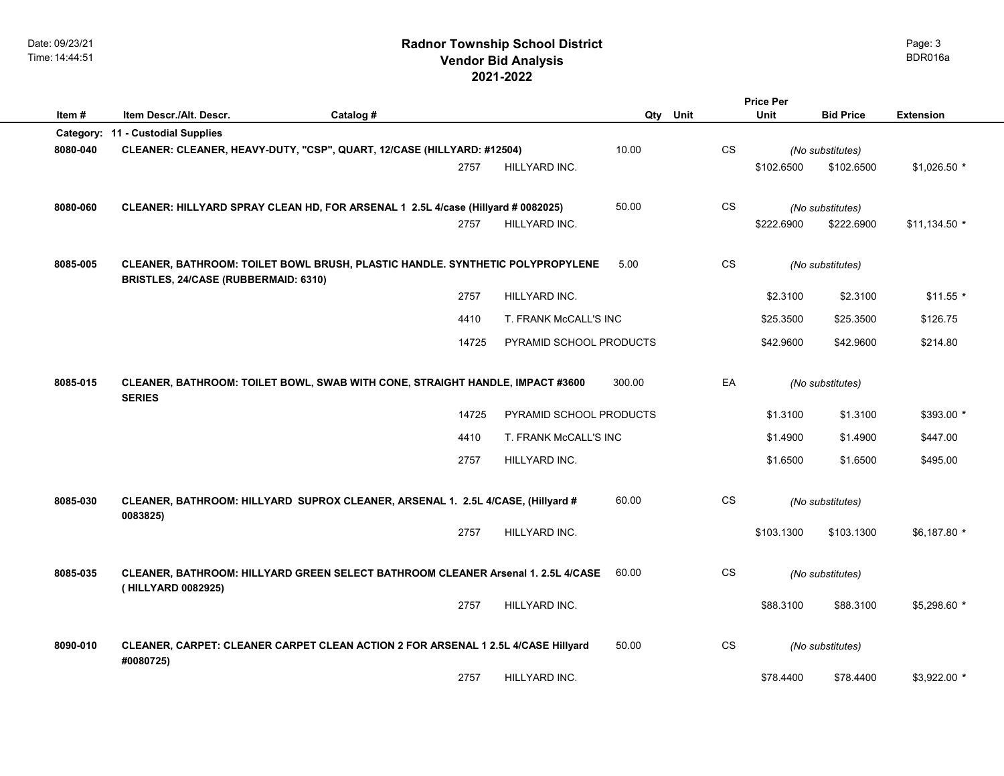# **2021-2022 Radnor Township School District Vendor Bid Analysis** BDR016a

|           |                                                                                                                       |           |                                                                               |                         | <b>Price Per</b> |           |             |                  |                  |  |
|-----------|-----------------------------------------------------------------------------------------------------------------------|-----------|-------------------------------------------------------------------------------|-------------------------|------------------|-----------|-------------|------------------|------------------|--|
| Item#     | Item Descr./Alt. Descr.                                                                                               | Catalog # |                                                                               |                         | Unit<br>Qty      |           | <b>Unit</b> | <b>Bid Price</b> | <b>Extension</b> |  |
| Category: | 11 - Custodial Supplies                                                                                               |           |                                                                               |                         |                  |           |             |                  |                  |  |
| 8080-040  | CLEANER: CLEANER, HEAVY-DUTY, "CSP", QUART, 12/CASE (HILLYARD: #12504)                                                |           |                                                                               |                         | 10.00            | CS        |             | (No substitutes) |                  |  |
|           |                                                                                                                       |           | 2757                                                                          | HILLYARD INC.           |                  |           | \$102.6500  | \$102.6500       | $$1,026.50$ *    |  |
| 8080-060  | CLEANER: HILLYARD SPRAY CLEAN HD, FOR ARSENAL 1 2.5L 4/case (Hillyard # 0082025)                                      |           |                                                                               |                         | 50.00            | CS        |             | (No substitutes) |                  |  |
|           |                                                                                                                       |           | 2757                                                                          | HILLYARD INC.           |                  |           | \$222.6900  | \$222.6900       | \$11,134.50 *    |  |
|           |                                                                                                                       |           |                                                                               |                         |                  |           |             |                  |                  |  |
| 8085-005  | CLEANER, BATHROOM: TOILET BOWL BRUSH, PLASTIC HANDLE. SYNTHETIC POLYPROPYLENE<br>BRISTLES, 24/CASE (RUBBERMAID: 6310) |           |                                                                               |                         | 5.00             | CS.       |             | (No substitutes) |                  |  |
|           |                                                                                                                       |           | 2757                                                                          | HILLYARD INC.           |                  |           | \$2.3100    | \$2.3100         | $$11.55$ *       |  |
|           |                                                                                                                       |           | 4410                                                                          | T. FRANK McCALL'S INC   |                  |           | \$25.3500   | \$25.3500        | \$126.75         |  |
|           |                                                                                                                       |           | 14725                                                                         | PYRAMID SCHOOL PRODUCTS |                  |           | \$42.9600   | \$42.9600        | \$214.80         |  |
| 8085-015  | <b>SERIES</b>                                                                                                         |           | CLEANER, BATHROOM: TOILET BOWL, SWAB WITH CONE, STRAIGHT HANDLE, IMPACT #3600 |                         | 300.00           | EA        |             | (No substitutes) |                  |  |
|           |                                                                                                                       |           | 14725                                                                         | PYRAMID SCHOOL PRODUCTS |                  |           | \$1.3100    | \$1.3100         | \$393.00 *       |  |
|           |                                                                                                                       |           | 4410                                                                          | T. FRANK McCALL'S INC   |                  |           | \$1.4900    | \$1.4900         | \$447.00         |  |
|           |                                                                                                                       |           | 2757                                                                          | HILLYARD INC.           |                  |           | \$1.6500    | \$1.6500         | \$495.00         |  |
| 8085-030  | CLEANER, BATHROOM: HILLYARD SUPROX CLEANER, ARSENAL 1. 2.5L 4/CASE, (Hillyard #<br>0083825)                           |           |                                                                               |                         | 60.00            | <b>CS</b> |             | (No substitutes) |                  |  |
|           |                                                                                                                       |           | 2757                                                                          | HILLYARD INC.           |                  |           | \$103.1300  | \$103.1300       | \$6,187.80 *     |  |
| 8085-035  | CLEANER, BATHROOM: HILLYARD GREEN SELECT BATHROOM CLEANER Arsenal 1. 2.5L 4/CASE<br>(HILLYARD 0082925)                |           |                                                                               |                         | 60.00            | <b>CS</b> |             | (No substitutes) |                  |  |
|           |                                                                                                                       |           | 2757                                                                          | HILLYARD INC.           |                  |           | \$88.3100   | \$88.3100        | \$5,298.60 *     |  |
| 8090-010  | CLEANER, CARPET: CLEANER CARPET CLEAN ACTION 2 FOR ARSENAL 1 2.5L 4/CASE Hillyard<br>#0080725)                        |           |                                                                               |                         | 50.00            | CS        |             | (No substitutes) |                  |  |
|           |                                                                                                                       |           | 2757                                                                          | HILLYARD INC.           |                  |           | \$78,4400   | \$78.4400        | $$3,922.00$ *    |  |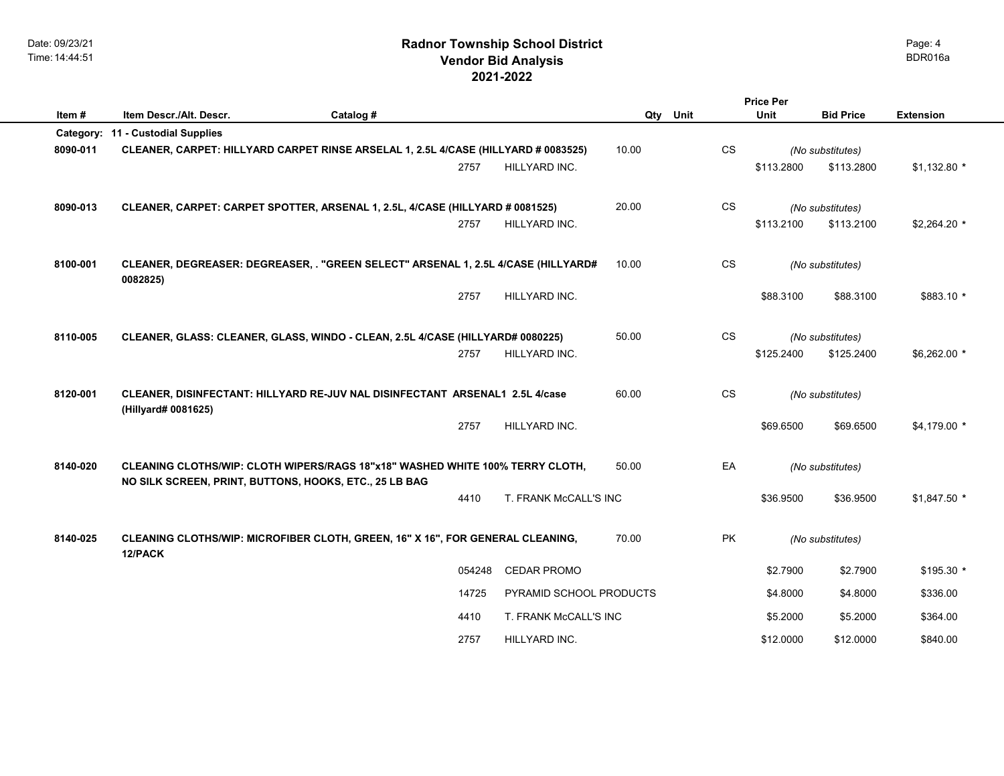# **2021-2022 Radnor Township School District Vendor Bid Analysis** BDR016a

|          |                                                                                    |                                  |             | <b>Price Per</b>       |            |                  |                  |
|----------|------------------------------------------------------------------------------------|----------------------------------|-------------|------------------------|------------|------------------|------------------|
| Item#    | Item Descr./Alt. Descr.<br>Catalog #                                               |                                  | Qty<br>Unit |                        | Unit       | <b>Bid Price</b> | <b>Extension</b> |
|          | Category: 11 - Custodial Supplies                                                  |                                  |             |                        |            |                  |                  |
| 8090-011 | CLEANER, CARPET: HILLYARD CARPET RINSE ARSELAL 1, 2.5L 4/CASE (HILLYARD # 0083525) |                                  | 10.00       | <b>CS</b>              |            | (No substitutes) |                  |
|          |                                                                                    | 2757<br>HILLYARD INC.            |             |                        | \$113.2800 | \$113.2800       | $$1,132.80$ *    |
|          |                                                                                    |                                  |             |                        |            |                  |                  |
| 8090-013 | CLEANER, CARPET: CARPET SPOTTER, ARSENAL 1, 2.5L, 4/CASE (HILLYARD # 0081525)      |                                  | 20.00       | <b>CS</b>              |            | (No substitutes) |                  |
|          |                                                                                    | 2757<br>HILLYARD INC.            |             |                        | \$113.2100 | \$113.2100       | $$2,264.20$ *    |
|          |                                                                                    |                                  |             |                        |            |                  |                  |
| 8100-001 | CLEANER, DEGREASER: DEGREASER, . "GREEN SELECT" ARSENAL 1, 2.5L 4/CASE (HILLYARD#  |                                  | 10.00       | $\mathbb{C}\mathbb{S}$ |            | (No substitutes) |                  |
|          | 0082825)                                                                           |                                  |             |                        |            |                  |                  |
|          |                                                                                    | 2757<br>HILLYARD INC.            |             |                        | \$88.3100  | \$88.3100        | \$883.10 *       |
|          |                                                                                    |                                  |             |                        |            |                  |                  |
| 8110-005 | CLEANER, GLASS: CLEANER, GLASS, WINDO - CLEAN, 2.5L 4/CASE (HILLYARD# 0080225)     |                                  | 50.00       | <b>CS</b>              |            | (No substitutes) |                  |
|          |                                                                                    | 2757<br>HILLYARD INC.            |             |                        | \$125.2400 | \$125.2400       | \$6,262.00 *     |
|          |                                                                                    |                                  |             |                        |            |                  |                  |
| 8120-001 | CLEANER, DISINFECTANT: HILLYARD RE-JUV NAL DISINFECTANT ARSENAL1 2.5L 4/case       |                                  | 60.00       | <b>CS</b>              |            |                  |                  |
|          | (Hillyard# 0081625)                                                                |                                  |             |                        |            | (No substitutes) |                  |
|          |                                                                                    | 2757<br>HILLYARD INC.            |             |                        | \$69.6500  | \$69.6500        | $$4,179.00*$     |
|          |                                                                                    |                                  |             |                        |            |                  |                  |
| 8140-020 | CLEANING CLOTHS/WIP: CLOTH WIPERS/RAGS 18"x18" WASHED WHITE 100% TERRY CLOTH,      |                                  | 50.00       | EA                     |            | (No substitutes) |                  |
|          | NO SILK SCREEN, PRINT, BUTTONS, HOOKS, ETC., 25 LB BAG                             |                                  |             |                        |            |                  |                  |
|          |                                                                                    | 4410<br>T. FRANK McCALL'S INC    |             |                        | \$36.9500  | \$36.9500        | $$1,847.50$ *    |
|          |                                                                                    |                                  |             |                        |            |                  |                  |
| 8140-025 | CLEANING CLOTHS/WIP: MICROFIBER CLOTH, GREEN, 16" X 16", FOR GENERAL CLEANING,     |                                  | 70.00       | PK                     |            |                  |                  |
|          | 12/PACK                                                                            |                                  |             |                        |            | (No substitutes) |                  |
|          |                                                                                    | 054248<br><b>CEDAR PROMO</b>     |             |                        | \$2.7900   | \$2.7900         | $$195.30$ *      |
|          |                                                                                    | PYRAMID SCHOOL PRODUCTS<br>14725 |             |                        | \$4.8000   | \$4.8000         | \$336.00         |
|          |                                                                                    |                                  |             |                        |            |                  |                  |
|          |                                                                                    | 4410<br>T. FRANK McCALL'S INC    |             |                        | \$5.2000   | \$5.2000         | \$364.00         |
|          |                                                                                    | 2757<br>HILLYARD INC.            |             |                        | \$12.0000  | \$12.0000        | \$840.00         |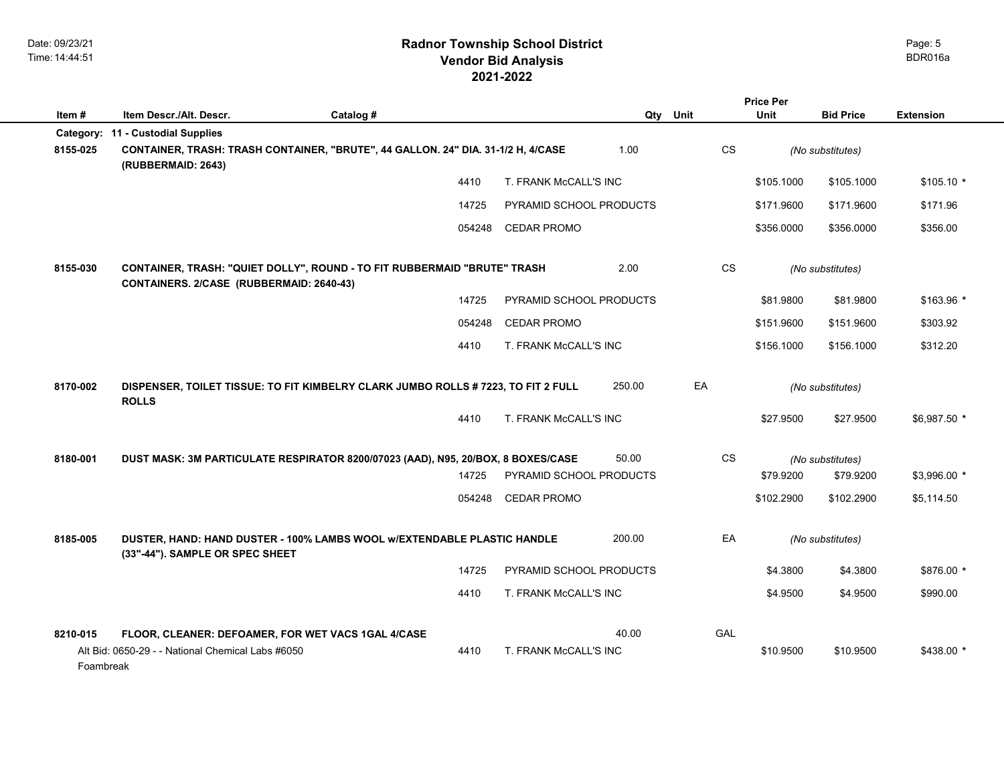|           |                                                                                                                      |           |                         |        |            | <b>Price Per</b> |                  |                  |
|-----------|----------------------------------------------------------------------------------------------------------------------|-----------|-------------------------|--------|------------|------------------|------------------|------------------|
| Item#     | Item Descr./Alt. Descr.                                                                                              | Catalog # |                         | Qtv    | Unit       | <b>Unit</b>      | <b>Bid Price</b> | <b>Extension</b> |
|           | Category: 11 - Custodial Supplies                                                                                    |           |                         |        |            |                  |                  |                  |
| 8155-025  | CONTAINER, TRASH: TRASH CONTAINER, "BRUTE", 44 GALLON. 24" DIA. 31-1/2 H, 4/CASE<br>(RUBBERMAID: 2643)               |           |                         | 1.00   | CS         |                  | (No substitutes) |                  |
|           |                                                                                                                      | 4410      | T. FRANK McCALL'S INC   |        |            | \$105.1000       | \$105.1000       | $$105.10*$       |
|           |                                                                                                                      | 14725     | PYRAMID SCHOOL PRODUCTS |        |            | \$171.9600       | \$171.9600       | \$171.96         |
|           |                                                                                                                      | 054248    | <b>CEDAR PROMO</b>      |        |            | \$356.0000       | \$356,0000       | \$356.00         |
| 8155-030  | CONTAINER, TRASH: "QUIET DOLLY", ROUND - TO FIT RUBBERMAID "BRUTE" TRASH<br>CONTAINERS. 2/CASE (RUBBERMAID: 2640-43) |           |                         | 2.00   | <b>CS</b>  |                  | (No substitutes) |                  |
|           |                                                                                                                      | 14725     | PYRAMID SCHOOL PRODUCTS |        |            | \$81.9800        | \$81.9800        | $$163.96$ *      |
|           |                                                                                                                      | 054248    | <b>CEDAR PROMO</b>      |        |            | \$151.9600       | \$151.9600       | \$303.92         |
|           |                                                                                                                      | 4410      | T. FRANK McCALL'S INC   |        |            | \$156,1000       | \$156.1000       | \$312.20         |
| 8170-002  | DISPENSER, TOILET TISSUE: TO FIT KIMBELRY CLARK JUMBO ROLLS # 7223, TO FIT 2 FULL<br><b>ROLLS</b>                    |           |                         | 250.00 | EA         |                  | (No substitutes) |                  |
|           |                                                                                                                      | 4410      | T. FRANK McCALL'S INC   |        |            | \$27.9500        | \$27.9500        | $$6,987.50$ *    |
| 8180-001  | DUST MASK: 3M PARTICULATE RESPIRATOR 8200/07023 (AAD), N95, 20/BOX, 8 BOXES/CASE                                     |           |                         | 50.00  | <b>CS</b>  |                  | (No substitutes) |                  |
|           |                                                                                                                      | 14725     | PYRAMID SCHOOL PRODUCTS |        |            | \$79.9200        | \$79.9200        | \$3,996.00 *     |
|           |                                                                                                                      | 054248    | <b>CEDAR PROMO</b>      |        |            | \$102.2900       | \$102.2900       | \$5,114.50       |
| 8185-005  | DUSTER, HAND: HAND DUSTER - 100% LAMBS WOOL W/EXTENDABLE PLASTIC HANDLE<br>(33"-44"). SAMPLE OR SPEC SHEET           |           |                         | 200.00 | EA         |                  | (No substitutes) |                  |
|           |                                                                                                                      | 14725     | PYRAMID SCHOOL PRODUCTS |        |            | \$4.3800         | \$4.3800         | \$876.00 *       |
|           |                                                                                                                      | 4410      | T. FRANK McCALL'S INC   |        |            | \$4.9500         | \$4.9500         | \$990.00         |
| 8210-015  | FLOOR, CLEANER: DEFOAMER, FOR WET VACS 1GAL 4/CASE                                                                   |           |                         | 40.00  | <b>GAL</b> |                  |                  |                  |
| Foambreak | Alt Bid: 0650-29 - - National Chemical Labs #6050                                                                    | 4410      | T. FRANK McCALL'S INC   |        |            | \$10.9500        | \$10.9500        | $$438.00*$       |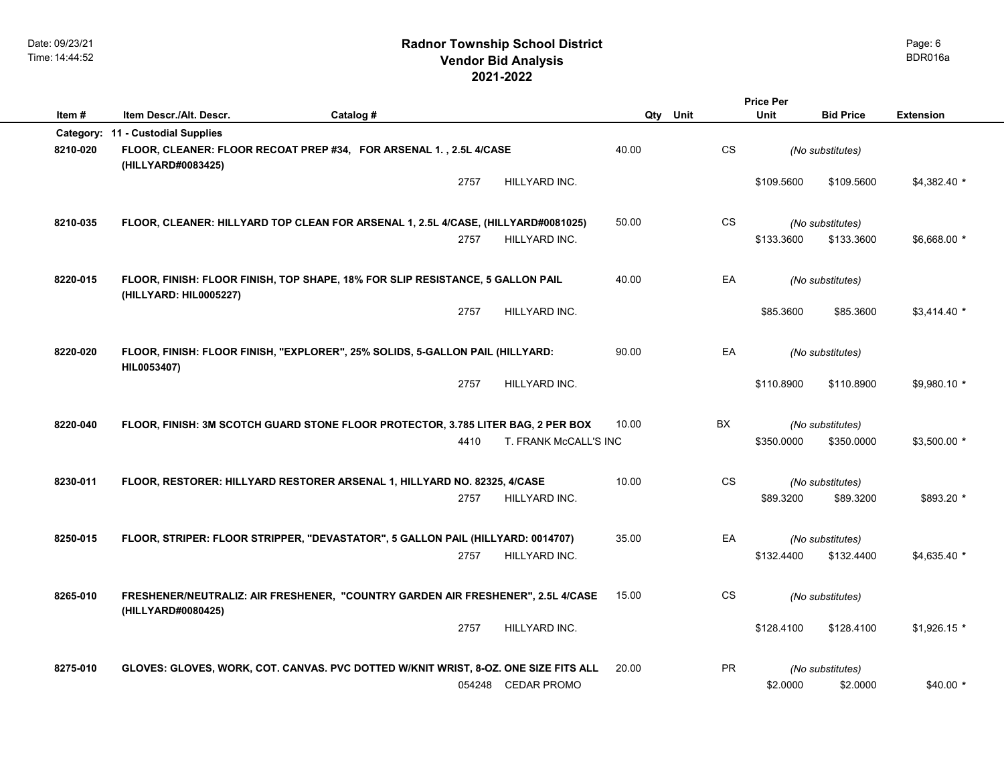|          |                                   |                                                                                     | <b>Price Per</b>      |          |           |             |                  |                  |
|----------|-----------------------------------|-------------------------------------------------------------------------------------|-----------------------|----------|-----------|-------------|------------------|------------------|
| Item#    | Item Descr./Alt. Descr.           | Catalog #                                                                           |                       | Qty Unit |           | <b>Unit</b> | <b>Bid Price</b> | <b>Extension</b> |
|          | Category: 11 - Custodial Supplies |                                                                                     |                       |          |           |             |                  |                  |
| 8210-020 | (HILLYARD#0083425)                | FLOOR, CLEANER: FLOOR RECOAT PREP #34, FOR ARSENAL 1., 2.5L 4/CASE                  |                       | 40.00    | <b>CS</b> |             | (No substitutes) |                  |
|          |                                   | 2757                                                                                | HILLYARD INC.         |          |           | \$109.5600  | \$109.5600       | $$4,382.40$ *    |
| 8210-035 |                                   | FLOOR, CLEANER: HILLYARD TOP CLEAN FOR ARSENAL 1, 2.5L 4/CASE, (HILLYARD#0081025)   |                       | 50.00    | CS.       |             | (No substitutes) |                  |
|          |                                   | 2757                                                                                | HILLYARD INC.         |          |           | \$133,3600  | \$133,3600       | \$6,668.00 *     |
| 8220-015 | (HILLYARD: HIL0005227)            | FLOOR, FINISH: FLOOR FINISH, TOP SHAPE, 18% FOR SLIP RESISTANCE, 5 GALLON PAIL      |                       | 40.00    | EA        |             | (No substitutes) |                  |
|          |                                   | 2757                                                                                | HILLYARD INC.         |          |           | \$85.3600   | \$85.3600        | $$3,414.40$ *    |
| 8220-020 | HIL0053407)                       | FLOOR, FINISH: FLOOR FINISH, "EXPLORER", 25% SOLIDS, 5-GALLON PAIL (HILLYARD:       |                       | 90.00    | EA        |             | (No substitutes) |                  |
|          |                                   | 2757                                                                                | HILLYARD INC.         |          |           | \$110.8900  | \$110.8900       | \$9,980.10 *     |
| 8220-040 |                                   | FLOOR, FINISH: 3M SCOTCH GUARD STONE FLOOR PROTECTOR, 3.785 LITER BAG, 2 PER BOX    |                       | 10.00    | BX        |             | (No substitutes) |                  |
|          |                                   | 4410                                                                                | T. FRANK McCALL'S INC |          |           | \$350.0000  | \$350.0000       | \$3,500.00 *     |
| 8230-011 |                                   | FLOOR, RESTORER: HILLYARD RESTORER ARSENAL 1, HILLYARD NO. 82325, 4/CASE            |                       | 10.00    | CS        |             | (No substitutes) |                  |
|          |                                   | 2757                                                                                | HILLYARD INC.         |          |           | \$89.3200   | \$89.3200        | \$893.20 *       |
| 8250-015 |                                   | FLOOR, STRIPER: FLOOR STRIPPER, "DEVASTATOR", 5 GALLON PAIL (HILLYARD: 0014707)     |                       | 35.00    | EA        |             | (No substitutes) |                  |
|          |                                   | 2757                                                                                | HILLYARD INC.         |          |           | \$132.4400  | \$132.4400       | $$4,635.40$ *    |
| 8265-010 | (HILLYARD#0080425)                | FRESHENER/NEUTRALIZ: AIR FRESHENER, "COUNTRY GARDEN AIR FRESHENER", 2.5L 4/CASE     |                       | 15.00    | CS.       |             | (No substitutes) |                  |
|          |                                   | 2757                                                                                | HILLYARD INC.         |          |           | \$128.4100  | \$128.4100       | $$1,926.15$ *    |
| 8275-010 |                                   | GLOVES: GLOVES, WORK, COT. CANVAS. PVC DOTTED W/KNIT WRIST, 8-OZ. ONE SIZE FITS ALL |                       | 20.00    | <b>PR</b> |             | (No substitutes) |                  |
|          |                                   |                                                                                     | 054248 CEDAR PROMO    |          |           | \$2.0000    | \$2.0000         | \$40.00 *        |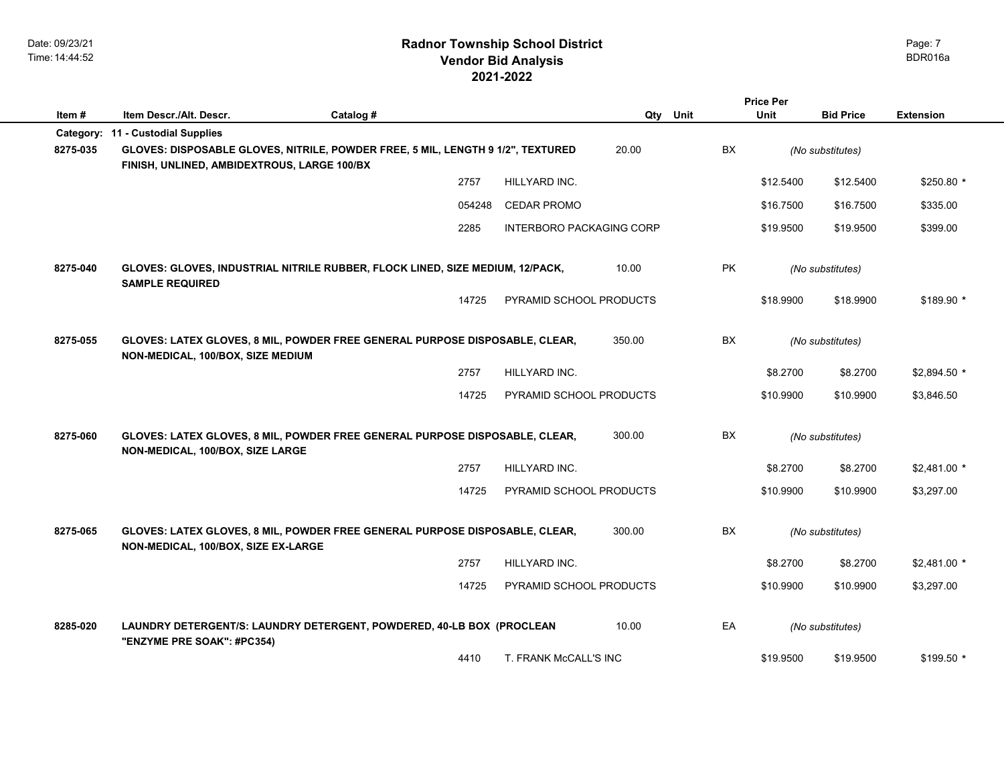|          |                                                                                                                                |           |        |                                 |          |           | <b>Price Per</b> |                  |                  |
|----------|--------------------------------------------------------------------------------------------------------------------------------|-----------|--------|---------------------------------|----------|-----------|------------------|------------------|------------------|
| Item #   | Item Descr./Alt. Descr.                                                                                                        | Catalog # |        |                                 | Qty Unit |           | <b>Unit</b>      | <b>Bid Price</b> | <b>Extension</b> |
|          | Category: 11 - Custodial Supplies                                                                                              |           |        |                                 |          |           |                  |                  |                  |
| 8275-035 | GLOVES: DISPOSABLE GLOVES, NITRILE, POWDER FREE, 5 MIL, LENGTH 9 1/2", TEXTURED<br>FINISH, UNLINED, AMBIDEXTROUS, LARGE 100/BX |           |        |                                 | 20.00    | <b>BX</b> |                  | (No substitutes) |                  |
|          |                                                                                                                                |           | 2757   | HILLYARD INC.                   |          |           | \$12.5400        | \$12.5400        | $$250.80*$       |
|          |                                                                                                                                |           | 054248 | <b>CEDAR PROMO</b>              |          |           | \$16.7500        | \$16.7500        | \$335.00         |
|          |                                                                                                                                |           | 2285   | <b>INTERBORO PACKAGING CORP</b> |          |           | \$19.9500        | \$19.9500        | \$399.00         |
| 8275-040 | GLOVES: GLOVES, INDUSTRIAL NITRILE RUBBER, FLOCK LINED, SIZE MEDIUM, 12/PACK,<br><b>SAMPLE REQUIRED</b>                        |           |        |                                 | 10.00    | PK        |                  | (No substitutes) |                  |
|          |                                                                                                                                |           | 14725  | PYRAMID SCHOOL PRODUCTS         |          |           | \$18.9900        | \$18.9900        | \$189.90 *       |
|          |                                                                                                                                |           |        |                                 |          |           |                  |                  |                  |
| 8275-055 | GLOVES: LATEX GLOVES, 8 MIL, POWDER FREE GENERAL PURPOSE DISPOSABLE, CLEAR,<br>NON-MEDICAL, 100/BOX, SIZE MEDIUM               |           |        |                                 | 350.00   | BX        |                  | (No substitutes) |                  |
|          |                                                                                                                                |           | 2757   | HILLYARD INC.                   |          |           | \$8.2700         | \$8.2700         | \$2,894.50 *     |
|          |                                                                                                                                |           | 14725  | PYRAMID SCHOOL PRODUCTS         |          |           | \$10.9900        | \$10.9900        | \$3,846.50       |
|          |                                                                                                                                |           |        |                                 |          |           |                  |                  |                  |
| 8275-060 | GLOVES: LATEX GLOVES, 8 MIL, POWDER FREE GENERAL PURPOSE DISPOSABLE, CLEAR,<br>NON-MEDICAL, 100/BOX, SIZE LARGE                |           |        |                                 | 300.00   | <b>BX</b> |                  | (No substitutes) |                  |
|          |                                                                                                                                |           | 2757   | HILLYARD INC.                   |          |           | \$8.2700         | \$8.2700         | $$2,481.00$ *    |
|          |                                                                                                                                |           | 14725  | PYRAMID SCHOOL PRODUCTS         |          |           | \$10.9900        | \$10.9900        | \$3,297.00       |
|          |                                                                                                                                |           |        |                                 |          |           |                  |                  |                  |
| 8275-065 | GLOVES: LATEX GLOVES, 8 MIL, POWDER FREE GENERAL PURPOSE DISPOSABLE, CLEAR,<br>NON-MEDICAL, 100/BOX, SIZE EX-LARGE             |           |        |                                 | 300.00   | BX        |                  | (No substitutes) |                  |
|          |                                                                                                                                |           | 2757   | HILLYARD INC.                   |          |           | \$8.2700         | \$8.2700         | $$2,481.00*$     |
|          |                                                                                                                                |           | 14725  | PYRAMID SCHOOL PRODUCTS         |          |           | \$10.9900        | \$10.9900        | \$3,297.00       |
|          |                                                                                                                                |           |        |                                 |          |           |                  |                  |                  |
| 8285-020 | LAUNDRY DETERGENT/S: LAUNDRY DETERGENT, POWDERED, 40-LB BOX (PROCLEAN<br>"ENZYME PRE SOAK": #PC354)                            |           |        |                                 | 10.00    | EA        |                  | (No substitutes) |                  |
|          |                                                                                                                                |           | 4410   | T. FRANK McCALL'S INC           |          |           | \$19.9500        | \$19.9500        | \$199.50 *       |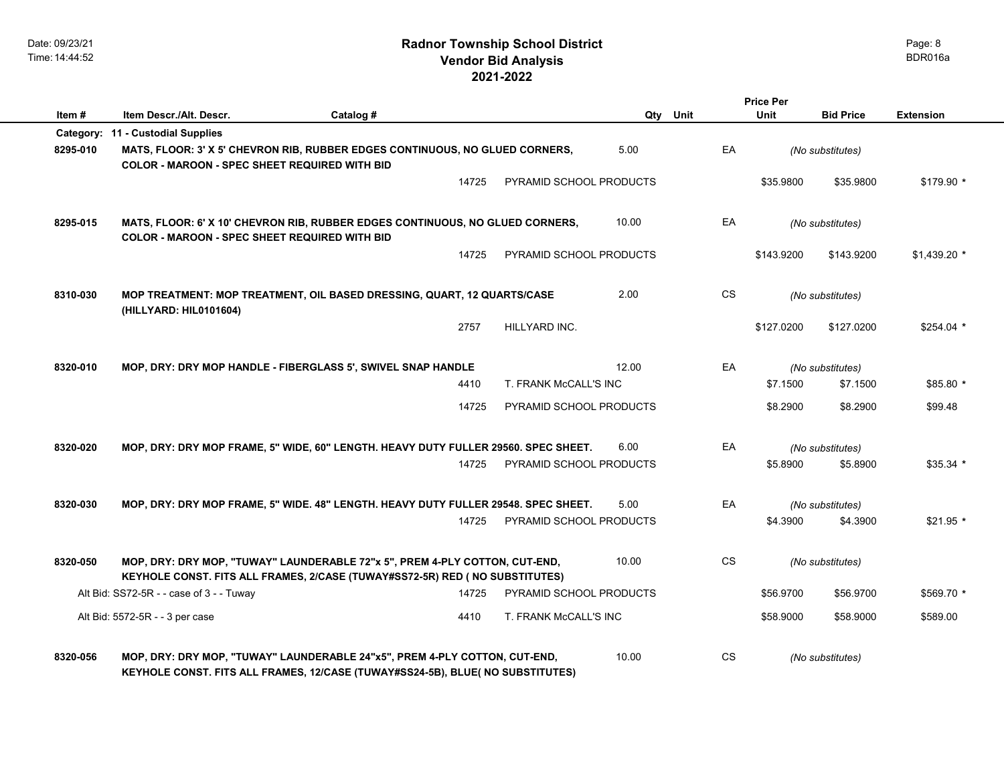# **2021-2022 Radnor Township School District Vendor Bid Analysis BDR016a**

|          |                                                                                                                                                              |           |                         |          | <b>Price Per</b> |            |                  |                  |
|----------|--------------------------------------------------------------------------------------------------------------------------------------------------------------|-----------|-------------------------|----------|------------------|------------|------------------|------------------|
| Item#    | Item Descr./Alt. Descr.                                                                                                                                      | Catalog # |                         | Qty Unit | <b>Unit</b>      |            | <b>Bid Price</b> | <b>Extension</b> |
|          | Category: 11 - Custodial Supplies                                                                                                                            |           |                         |          |                  |            |                  |                  |
| 8295-010 | MATS, FLOOR: 3' X 5' CHEVRON RIB, RUBBER EDGES CONTINUOUS, NO GLUED CORNERS,<br><b>COLOR - MAROON - SPEC SHEET REQUIRED WITH BID</b>                         |           |                         | 5.00     | EA               |            | (No substitutes) |                  |
|          |                                                                                                                                                              | 14725     | PYRAMID SCHOOL PRODUCTS |          |                  | \$35.9800  | \$35.9800        | \$179.90 *       |
| 8295-015 | MATS, FLOOR: 6' X 10' CHEVRON RIB, RUBBER EDGES CONTINUOUS, NO GLUED CORNERS,<br><b>COLOR - MAROON - SPEC SHEET REQUIRED WITH BID</b>                        |           |                         | 10.00    | EA               |            | (No substitutes) |                  |
|          |                                                                                                                                                              | 14725     | PYRAMID SCHOOL PRODUCTS |          |                  | \$143.9200 | \$143.9200       | $$1,439.20$ *    |
| 8310-030 | MOP TREATMENT: MOP TREATMENT, OIL BASED DRESSING, QUART, 12 QUARTS/CASE<br>(HILLYARD: HIL0101604)                                                            |           |                         | 2.00     | CS               |            | (No substitutes) |                  |
|          |                                                                                                                                                              | 2757      | HILLYARD INC.           |          |                  | \$127.0200 | \$127.0200       | \$254.04 *       |
| 8320-010 | MOP, DRY: DRY MOP HANDLE - FIBERGLASS 5', SWIVEL SNAP HANDLE                                                                                                 |           |                         | 12.00    | EA               |            | (No substitutes) |                  |
|          |                                                                                                                                                              | 4410      | T. FRANK McCALL'S INC   |          |                  | \$7.1500   | \$7.1500         | \$85.80 *        |
|          |                                                                                                                                                              | 14725     | PYRAMID SCHOOL PRODUCTS |          |                  | \$8.2900   | \$8.2900         | \$99.48          |
| 8320-020 | MOP, DRY: DRY MOP FRAME, 5" WIDE, 60" LENGTH. HEAVY DUTY FULLER 29560. SPEC SHEET.                                                                           |           |                         | 6.00     | EA               |            | (No substitutes) |                  |
|          |                                                                                                                                                              | 14725     | PYRAMID SCHOOL PRODUCTS |          |                  | \$5.8900   | \$5.8900         | $$35.34$ *       |
| 8320-030 | MOP, DRY: DRY MOP FRAME, 5" WIDE. 48" LENGTH. HEAVY DUTY FULLER 29548. SPEC SHEET.                                                                           |           |                         | 5.00     | EA               |            | (No substitutes) |                  |
|          |                                                                                                                                                              | 14725     | PYRAMID SCHOOL PRODUCTS |          |                  | \$4.3900   | \$4.3900         | \$21.95 *        |
| 8320-050 | MOP, DRY: DRY MOP, "TUWAY" LAUNDERABLE 72"x 5", PREM 4-PLY COTTON, CUT-END,<br>KEYHOLE CONST. FITS ALL FRAMES, 2/CASE (TUWAY#SS72-5R) RED ( NO SUBSTITUTES)  |           |                         | 10.00    | CS               |            | (No substitutes) |                  |
|          | Alt Bid: SS72-5R - - case of 3 - - Tuway                                                                                                                     | 14725     | PYRAMID SCHOOL PRODUCTS |          |                  | \$56.9700  | \$56.9700        | \$569.70 *       |
|          | Alt Bid: 5572-5R - - 3 per case                                                                                                                              | 4410      | T. FRANK McCALL'S INC   |          |                  | \$58.9000  | \$58.9000        | \$589.00         |
| 8320-056 | MOP, DRY: DRY MOP, "TUWAY" LAUNDERABLE 24"x5", PREM 4-PLY COTTON, CUT-END,<br>KEYHOLE CONST. FITS ALL FRAMES, 12/CASE (TUWAY#SS24-5B), BLUE( NO SUBSTITUTES) |           |                         | 10.00    | CS               |            | (No substitutes) |                  |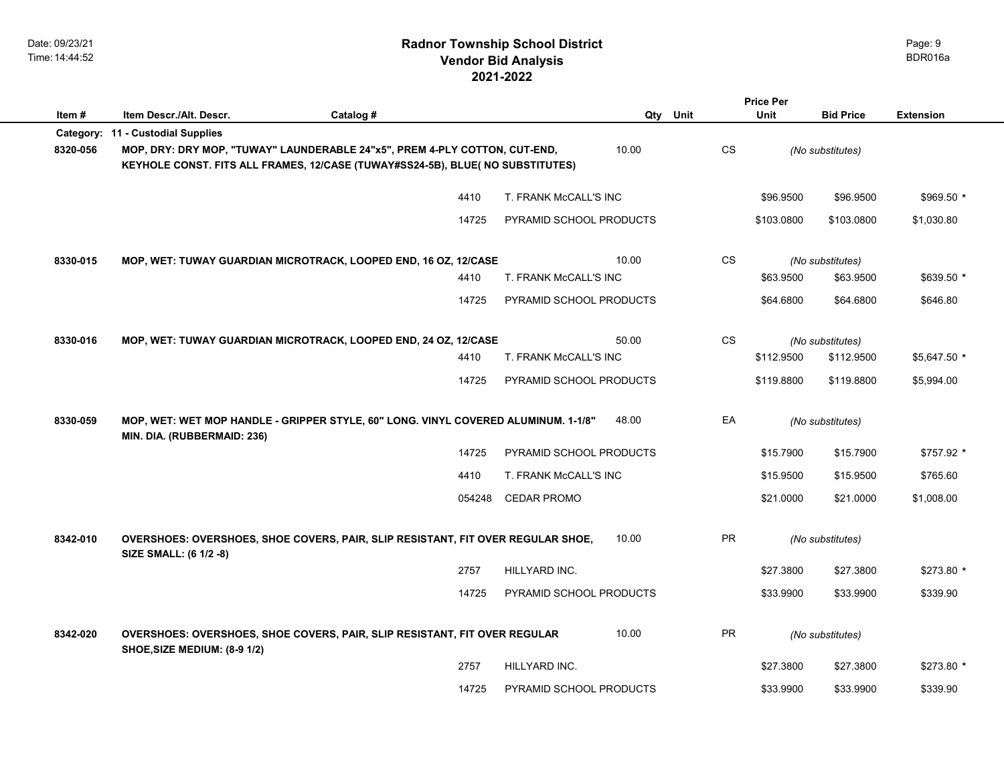# **2021-2022 Radnor Township School District Vendor Bid Analysis** BDR016a

|          |                                                                                                                                                              |        |                         |           | <b>Price Per</b> |                  |                  |
|----------|--------------------------------------------------------------------------------------------------------------------------------------------------------------|--------|-------------------------|-----------|------------------|------------------|------------------|
| Item#    | Item Descr./Alt. Descr.<br>Catalog #                                                                                                                         |        |                         | Qty Unit  | <b>Unit</b>      | <b>Bid Price</b> | <b>Extension</b> |
|          | Category: 11 - Custodial Supplies                                                                                                                            |        |                         |           |                  |                  |                  |
| 8320-056 | MOP, DRY: DRY MOP, "TUWAY" LAUNDERABLE 24"x5", PREM 4-PLY COTTON, CUT-END,<br>KEYHOLE CONST. FITS ALL FRAMES, 12/CASE (TUWAY#SS24-5B), BLUE( NO SUBSTITUTES) |        | 10.00                   | <b>CS</b> |                  | (No substitutes) |                  |
|          |                                                                                                                                                              | 4410   | T. FRANK McCALL'S INC   |           | \$96,9500        | \$96.9500        | $$969.50*$       |
|          |                                                                                                                                                              | 14725  | PYRAMID SCHOOL PRODUCTS |           | \$103.0800       | \$103.0800       | \$1,030.80       |
| 8330-015 | MOP, WET: TUWAY GUARDIAN MICROTRACK, LOOPED END, 16 OZ, 12/CASE                                                                                              |        | 10.00                   | CS        |                  | (No substitutes) |                  |
|          |                                                                                                                                                              | 4410   | T. FRANK McCALL'S INC   |           | \$63.9500        | \$63.9500        | \$639.50 *       |
|          |                                                                                                                                                              | 14725  | PYRAMID SCHOOL PRODUCTS |           | \$64.6800        | \$64.6800        | \$646.80         |
| 8330-016 | MOP, WET: TUWAY GUARDIAN MICROTRACK, LOOPED END, 24 OZ, 12/CASE                                                                                              |        | 50.00                   | <b>CS</b> |                  | (No substitutes) |                  |
|          |                                                                                                                                                              | 4410   | T. FRANK McCALL'S INC   |           | \$112.9500       | \$112.9500       | \$5,647.50 *     |
|          |                                                                                                                                                              | 14725  | PYRAMID SCHOOL PRODUCTS |           | \$119.8800       | \$119,8800       | \$5,994.00       |
| 8330-059 | MOP, WET: WET MOP HANDLE - GRIPPER STYLE, 60" LONG. VINYL COVERED ALUMINUM. 1-1/8"<br>MIN. DIA. (RUBBERMAID: 236)                                            |        | 48.00                   | EA        |                  | (No substitutes) |                  |
|          |                                                                                                                                                              | 14725  | PYRAMID SCHOOL PRODUCTS |           | \$15.7900        | \$15.7900        | \$757.92 *       |
|          |                                                                                                                                                              | 4410   | T. FRANK McCALL'S INC   |           | \$15.9500        | \$15.9500        | \$765.60         |
|          |                                                                                                                                                              | 054248 | <b>CEDAR PROMO</b>      |           | \$21.0000        | \$21.0000        | \$1,008.00       |
| 8342-010 | OVERSHOES: OVERSHOES, SHOE COVERS, PAIR, SLIP RESISTANT, FIT OVER REGULAR SHOE,<br>SIZE SMALL: (6 1/2 -8)                                                    |        | 10.00                   | PR        |                  | (No substitutes) |                  |
|          |                                                                                                                                                              | 2757   | HILLYARD INC.           |           | \$27.3800        | \$27.3800        | $$273.80*$       |
|          |                                                                                                                                                              | 14725  | PYRAMID SCHOOL PRODUCTS |           | \$33.9900        | \$33.9900        | \$339.90         |
| 8342-020 | OVERSHOES: OVERSHOES, SHOE COVERS, PAIR, SLIP RESISTANT, FIT OVER REGULAR<br>SHOE, SIZE MEDIUM: (8-9 1/2)                                                    |        | 10.00                   | PR        |                  | (No substitutes) |                  |
|          |                                                                                                                                                              | 2757   | HILLYARD INC.           |           | \$27.3800        | \$27.3800        | \$273.80 *       |
|          |                                                                                                                                                              | 14725  | PYRAMID SCHOOL PRODUCTS |           | \$33.9900        | \$33.9900        | \$339.90         |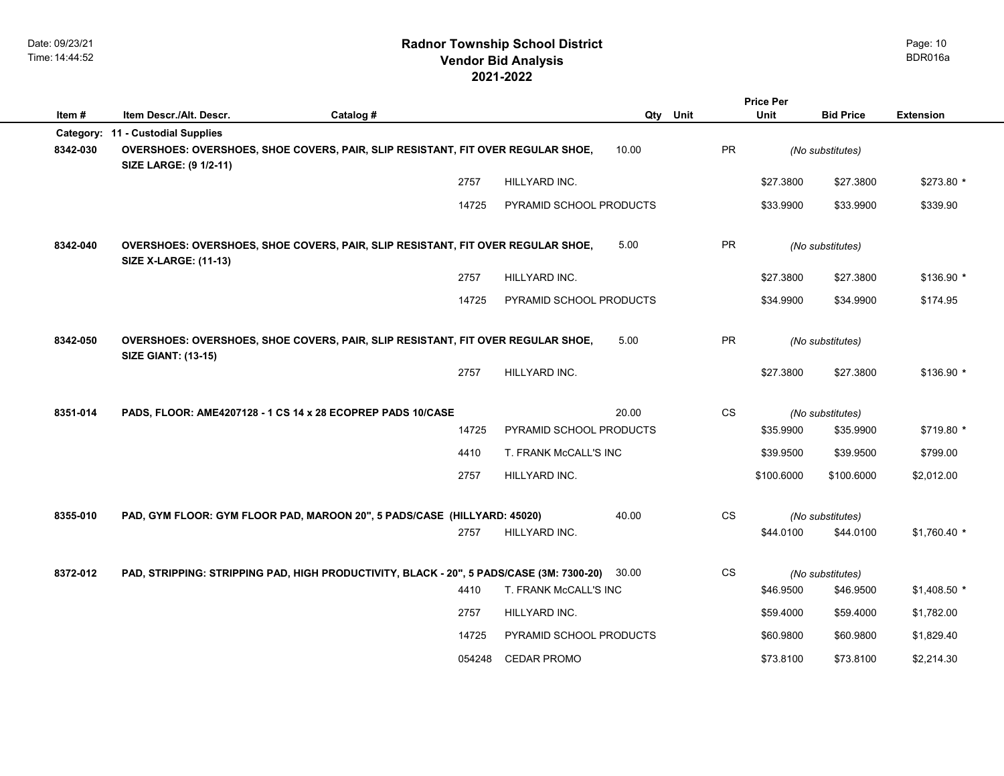|           |                                                                                                                 |           |        |                         |             |                        | <b>Price Per</b> |                  |                  |
|-----------|-----------------------------------------------------------------------------------------------------------------|-----------|--------|-------------------------|-------------|------------------------|------------------|------------------|------------------|
| Item #    | Item Descr./Alt. Descr.                                                                                         | Catalog # |        |                         | Qty<br>Unit |                        | Unit             | <b>Bid Price</b> | <b>Extension</b> |
| Category: | 11 - Custodial Supplies                                                                                         |           |        |                         |             |                        |                  |                  |                  |
| 8342-030  | OVERSHOES: OVERSHOES, SHOE COVERS, PAIR, SLIP RESISTANT, FIT OVER REGULAR SHOE,<br>SIZE LARGE: (9 1/2-11)       |           |        |                         | 10.00       | <b>PR</b>              |                  | (No substitutes) |                  |
|           |                                                                                                                 |           | 2757   | HILLYARD INC.           |             |                        | \$27.3800        | \$27.3800        | \$273.80 *       |
|           |                                                                                                                 |           | 14725  | PYRAMID SCHOOL PRODUCTS |             |                        | \$33.9900        | \$33.9900        | \$339.90         |
| 8342-040  | OVERSHOES: OVERSHOES, SHOE COVERS, PAIR, SLIP RESISTANT, FIT OVER REGULAR SHOE,<br><b>SIZE X-LARGE: (11-13)</b> |           |        |                         | 5.00        | <b>PR</b>              |                  | (No substitutes) |                  |
|           |                                                                                                                 |           | 2757   | HILLYARD INC.           |             |                        | \$27.3800        | \$27.3800        | $$136.90$ *      |
|           |                                                                                                                 |           | 14725  | PYRAMID SCHOOL PRODUCTS |             |                        | \$34.9900        | \$34.9900        | \$174.95         |
| 8342-050  | OVERSHOES: OVERSHOES, SHOE COVERS, PAIR, SLIP RESISTANT, FIT OVER REGULAR SHOE,<br><b>SIZE GIANT: (13-15)</b>   |           |        |                         | 5.00        | <b>PR</b>              |                  | (No substitutes) |                  |
|           |                                                                                                                 |           | 2757   | HILLYARD INC.           |             |                        | \$27.3800        | \$27.3800        | $$136.90$ *      |
| 8351-014  | PADS, FLOOR: AME4207128 - 1 CS 14 x 28 ECOPREP PADS 10/CASE                                                     |           |        |                         | 20.00       | $\mathbb{C}\mathbb{S}$ |                  | (No substitutes) |                  |
|           |                                                                                                                 |           | 14725  | PYRAMID SCHOOL PRODUCTS |             |                        | \$35.9900        | \$35.9900        | \$719.80 *       |
|           |                                                                                                                 |           | 4410   | T. FRANK McCALL'S INC   |             |                        | \$39.9500        | \$39.9500        | \$799.00         |
|           |                                                                                                                 |           | 2757   | HILLYARD INC.           |             |                        | \$100.6000       | \$100.6000       | \$2,012.00       |
| 8355-010  | PAD, GYM FLOOR: GYM FLOOR PAD, MAROON 20", 5 PADS/CASE (HILLYARD: 45020)                                        |           |        |                         | 40.00       | CS                     |                  | (No substitutes) |                  |
|           |                                                                                                                 |           | 2757   | HILLYARD INC.           |             |                        | \$44.0100        | \$44.0100        | $$1,760.40$ *    |
| 8372-012  | PAD, STRIPPING: STRIPPING PAD, HIGH PRODUCTIVITY, BLACK - 20", 5 PADS/CASE (3M: 7300-20)                        |           |        |                         | 30.00       | $\mathbb{C}\mathbb{S}$ |                  | (No substitutes) |                  |
|           |                                                                                                                 |           | 4410   | T. FRANK McCALL'S INC   |             |                        | \$46.9500        | \$46.9500        | $$1,408.50$ *    |
|           |                                                                                                                 |           | 2757   | HILLYARD INC.           |             |                        | \$59.4000        | \$59.4000        | \$1,782.00       |
|           |                                                                                                                 |           | 14725  | PYRAMID SCHOOL PRODUCTS |             |                        | \$60.9800        | \$60.9800        | \$1,829.40       |
|           |                                                                                                                 |           | 054248 | <b>CEDAR PROMO</b>      |             |                        | \$73.8100        | \$73.8100        | \$2,214.30       |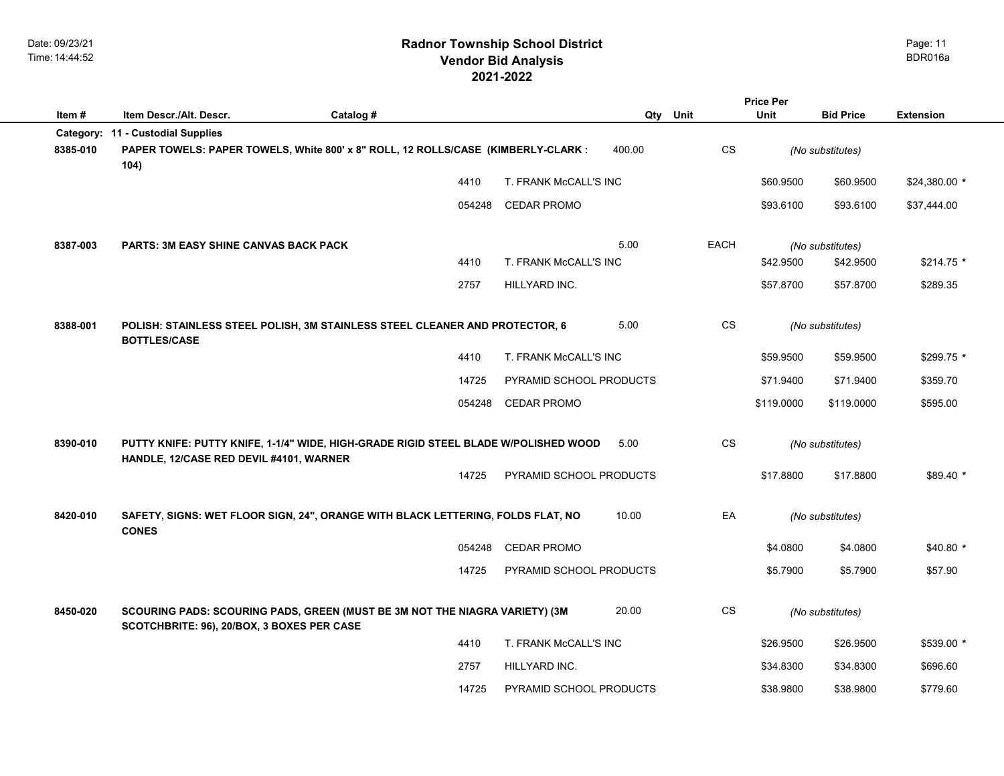|          |                                                                                                                                |           |        |                         |        |                        | <b>Price Per</b> |                  |                  |  |
|----------|--------------------------------------------------------------------------------------------------------------------------------|-----------|--------|-------------------------|--------|------------------------|------------------|------------------|------------------|--|
| Item#    | Item Descr./Alt. Descr.                                                                                                        | Catalog # |        |                         | Qty    | Unit                   | <b>Unit</b>      | <b>Bid Price</b> | <b>Extension</b> |  |
| 8385-010 | Category: 11 - Custodial Supplies<br>PAPER TOWELS: PAPER TOWELS, White 800' x 8" ROLL, 12 ROLLS/CASE (KIMBERLY-CLARK :<br>104) |           |        |                         | 400.00 | <b>CS</b>              |                  | (No substitutes) |                  |  |
|          |                                                                                                                                |           | 4410   | T. FRANK McCALL'S INC   |        |                        | \$60.9500        | \$60.9500        | \$24,380.00 *    |  |
|          |                                                                                                                                |           | 054248 | CEDAR PROMO             |        |                        | \$93.6100        | \$93.6100        | \$37,444.00      |  |
| 8387-003 | <b>PARTS: 3M EASY SHINE CANVAS BACK PACK</b>                                                                                   |           |        |                         | 5.00   | EACH                   |                  | (No substitutes) |                  |  |
|          |                                                                                                                                |           | 4410   | T. FRANK McCALL'S INC   |        |                        | \$42.9500        | \$42.9500        | $$214.75$ *      |  |
|          |                                                                                                                                |           | 2757   | HILLYARD INC.           |        |                        | \$57.8700        | \$57.8700        | \$289.35         |  |
| 8388-001 | POLISH: STAINLESS STEEL POLISH, 3M STAINLESS STEEL CLEANER AND PROTECTOR, 6<br><b>BOTTLES/CASE</b>                             |           |        |                         | 5.00   | CS                     |                  | (No substitutes) |                  |  |
|          |                                                                                                                                |           | 4410   | T. FRANK McCALL'S INC   |        |                        | \$59.9500        | \$59.9500        | $$299.75$ *      |  |
|          |                                                                                                                                |           | 14725  | PYRAMID SCHOOL PRODUCTS |        |                        | \$71.9400        | \$71.9400        | \$359.70         |  |
|          |                                                                                                                                |           | 054248 | <b>CEDAR PROMO</b>      |        |                        | \$119.0000       | \$119.0000       | \$595.00         |  |
| 8390-010 | PUTTY KNIFE: PUTTY KNIFE, 1-1/4" WIDE, HIGH-GRADE RIGID STEEL BLADE W/POLISHED WOOD<br>HANDLE, 12/CASE RED DEVIL #4101, WARNER |           |        |                         | 5.00   | $\mathbb{C}\mathbb{S}$ |                  | (No substitutes) |                  |  |
|          |                                                                                                                                |           | 14725  | PYRAMID SCHOOL PRODUCTS |        |                        | \$17.8800        | \$17.8800        | \$89.40 *        |  |
| 8420-010 | SAFETY, SIGNS: WET FLOOR SIGN, 24", ORANGE WITH BLACK LETTERING, FOLDS FLAT, NO<br><b>CONES</b>                                |           |        |                         | 10.00  | EA                     |                  | (No substitutes) |                  |  |
|          |                                                                                                                                |           | 054248 | <b>CEDAR PROMO</b>      |        |                        | \$4.0800         | \$4.0800         | $$40.80*$        |  |
|          |                                                                                                                                |           | 14725  | PYRAMID SCHOOL PRODUCTS |        |                        | \$5.7900         | \$5.7900         | \$57.90          |  |
| 8450-020 | SCOURING PADS: SCOURING PADS, GREEN (MUST BE 3M NOT THE NIAGRA VARIETY) (3M<br>SCOTCHBRITE: 96), 20/BOX, 3 BOXES PER CASE      |           |        |                         | 20.00  | CS                     |                  | (No substitutes) |                  |  |
|          |                                                                                                                                |           | 4410   | T. FRANK McCALL'S INC   |        |                        | \$26.9500        | \$26.9500        | \$539.00 *       |  |
|          |                                                                                                                                |           | 2757   | HILLYARD INC.           |        |                        | \$34.8300        | \$34.8300        | \$696.60         |  |
|          |                                                                                                                                |           | 14725  | PYRAMID SCHOOL PRODUCTS |        |                        | \$38.9800        | \$38.9800        | \$779.60         |  |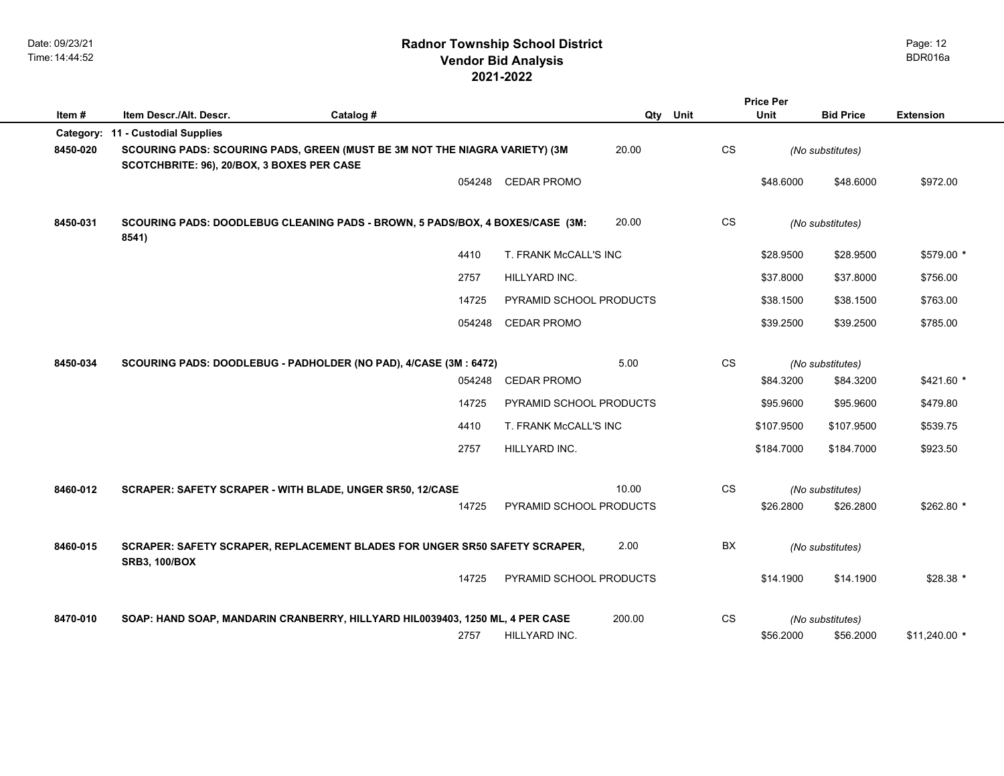# **2021-2022 Radnor Township School District Vendor Bid Analysis** BDR016a

|          | <b>Price Per</b>                                                                                                          |           |        |                         |          |           |             |                  |                  |
|----------|---------------------------------------------------------------------------------------------------------------------------|-----------|--------|-------------------------|----------|-----------|-------------|------------------|------------------|
| Item#    | Item Descr./Alt. Descr.                                                                                                   | Catalog # |        |                         | Qty Unit |           | <b>Unit</b> | <b>Bid Price</b> | <b>Extension</b> |
|          | Category: 11 - Custodial Supplies                                                                                         |           |        |                         |          |           |             |                  |                  |
| 8450-020 | SCOURING PADS: SCOURING PADS, GREEN (MUST BE 3M NOT THE NIAGRA VARIETY) (3M<br>SCOTCHBRITE: 96), 20/BOX, 3 BOXES PER CASE |           |        |                         | 20.00    | CS        |             | (No substitutes) |                  |
|          |                                                                                                                           |           | 054248 | <b>CEDAR PROMO</b>      |          |           | \$48.6000   | \$48.6000        | \$972.00         |
| 8450-031 | SCOURING PADS: DOODLEBUG CLEANING PADS - BROWN, 5 PADS/BOX, 4 BOXES/CASE (3M:<br>8541)                                    |           |        |                         | 20.00    | CS        |             | (No substitutes) |                  |
|          |                                                                                                                           |           | 4410   | T. FRANK McCALL'S INC   |          |           | \$28.9500   | \$28.9500        | \$579.00 *       |
|          |                                                                                                                           |           | 2757   | HILLYARD INC.           |          |           | \$37.8000   | \$37.8000        | \$756.00         |
|          |                                                                                                                           |           | 14725  | PYRAMID SCHOOL PRODUCTS |          |           | \$38.1500   | \$38.1500        | \$763.00         |
|          |                                                                                                                           |           | 054248 | <b>CEDAR PROMO</b>      |          |           | \$39.2500   | \$39.2500        | \$785.00         |
| 8450-034 | SCOURING PADS: DOODLEBUG - PADHOLDER (NO PAD), 4/CASE (3M : 6472)                                                         |           |        |                         | 5.00     | CS        |             | (No substitutes) |                  |
|          |                                                                                                                           |           | 054248 | <b>CEDAR PROMO</b>      |          |           | \$84.3200   | \$84.3200        | \$421.60 *       |
|          |                                                                                                                           |           | 14725  | PYRAMID SCHOOL PRODUCTS |          |           | \$95.9600   | \$95.9600        | \$479.80         |
|          |                                                                                                                           |           | 4410   | T. FRANK McCALL'S INC   |          |           | \$107.9500  | \$107.9500       | \$539.75         |
|          |                                                                                                                           |           | 2757   | HILLYARD INC.           |          |           | \$184.7000  | \$184.7000       | \$923.50         |
| 8460-012 | SCRAPER: SAFETY SCRAPER - WITH BLADE, UNGER SR50, 12/CASE                                                                 |           |        |                         | 10.00    | <b>CS</b> |             | (No substitutes) |                  |
|          |                                                                                                                           |           | 14725  | PYRAMID SCHOOL PRODUCTS |          |           | \$26.2800   | \$26.2800        | \$262.80 *       |
| 8460-015 | SCRAPER: SAFETY SCRAPER, REPLACEMENT BLADES FOR UNGER SR50 SAFETY SCRAPER,<br><b>SRB3, 100/BOX</b>                        |           |        |                         | 2.00     | BX        |             | (No substitutes) |                  |
|          |                                                                                                                           |           | 14725  | PYRAMID SCHOOL PRODUCTS |          |           | \$14.1900   | \$14.1900        | $$28.38*$        |
| 8470-010 | SOAP: HAND SOAP, MANDARIN CRANBERRY, HILLYARD HIL0039403, 1250 ML, 4 PER CASE                                             |           |        |                         | 200.00   | <b>CS</b> |             | (No substitutes) |                  |
|          |                                                                                                                           |           | 2757   | HILLYARD INC.           |          |           | \$56.2000   | \$56.2000        | $$11,240.00$ *   |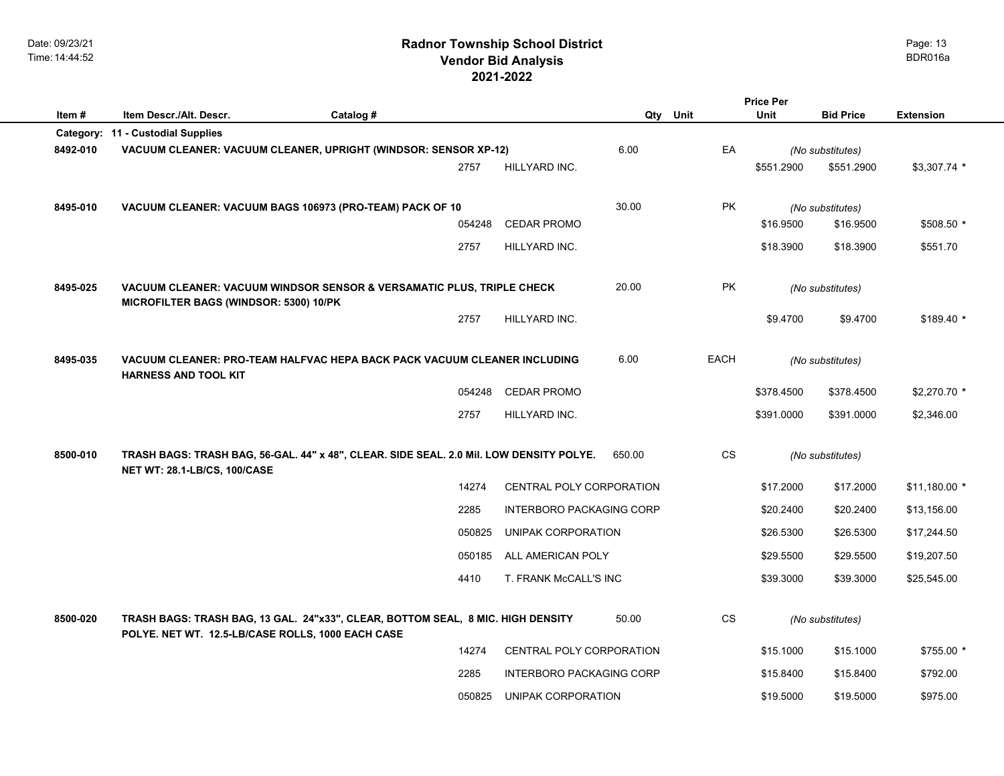|          |                                                                                                                                |           |                                                                         |                          |             |                  |                  | <b>Price Per</b> |                  |  |
|----------|--------------------------------------------------------------------------------------------------------------------------------|-----------|-------------------------------------------------------------------------|--------------------------|-------------|------------------|------------------|------------------|------------------|--|
| Item#    | Item Descr./Alt. Descr.                                                                                                        | Catalog # |                                                                         |                          | Qty<br>Unit |                  | Unit             | <b>Bid Price</b> | <b>Extension</b> |  |
|          | Category: 11 - Custodial Supplies                                                                                              |           |                                                                         |                          |             |                  |                  |                  |                  |  |
| 8492-010 | VACUUM CLEANER: VACUUM CLEANER, UPRIGHT (WINDSOR: SENSOR XP-12)                                                                |           |                                                                         | 6.00                     | EA          |                  | (No substitutes) |                  |                  |  |
|          |                                                                                                                                |           | 2757                                                                    | HILLYARD INC.            |             |                  | \$551.2900       | \$551.2900       | $$3,307.74$ *    |  |
|          |                                                                                                                                |           |                                                                         |                          |             |                  |                  |                  |                  |  |
| 8495-010 | VACUUM CLEANER: VACUUM BAGS 106973 (PRO-TEAM) PACK OF 10                                                                       |           |                                                                         | 30.00                    | PK          |                  | (No substitutes) |                  |                  |  |
|          |                                                                                                                                |           | 054248                                                                  | <b>CEDAR PROMO</b>       |             |                  | \$16.9500        | \$16.9500        | \$508.50 *       |  |
|          |                                                                                                                                |           | 2757                                                                    | HILLYARD INC.            |             |                  | \$18.3900        | \$18.3900        | \$551.70         |  |
|          |                                                                                                                                |           |                                                                         |                          |             |                  |                  |                  |                  |  |
| 8495-025 | VACUUM CLEANER: VACUUM WINDSOR SENSOR & VERSAMATIC PLUS, TRIPLE CHECK                                                          |           |                                                                         | 20.00                    | PK          | (No substitutes) |                  |                  |                  |  |
|          | MICROFILTER BAGS (WINDSOR: 5300) 10/PK                                                                                         |           |                                                                         |                          |             |                  |                  |                  |                  |  |
|          |                                                                                                                                |           | 2757                                                                    | HILLYARD INC.            |             |                  | \$9.4700         | \$9.4700         | $$189.40$ *      |  |
|          |                                                                                                                                |           |                                                                         |                          |             |                  |                  |                  |                  |  |
| 8495-035 | VACUUM CLEANER: PRO-TEAM HALFVAC HEPA BACK PACK VACUUM CLEANER INCLUDING<br><b>HARNESS AND TOOL KIT</b>                        |           |                                                                         | 6.00                     | EACH        |                  | (No substitutes) |                  |                  |  |
|          |                                                                                                                                |           | 054248                                                                  | CEDAR PROMO              |             |                  | \$378.4500       | \$378.4500       | \$2,270.70 *     |  |
|          |                                                                                                                                |           | 2757                                                                    | HILLYARD INC.            |             |                  | \$391.0000       | \$391.0000       | \$2,346.00       |  |
|          |                                                                                                                                |           |                                                                         |                          |             |                  |                  |                  |                  |  |
| 8500-010 | TRASH BAGS: TRASH BAG, 56-GAL. 44" x 48", CLEAR. SIDE SEAL. 2.0 Mil. LOW DENSITY POLYE.<br><b>NET WT: 28.1-LB/CS, 100/CASE</b> |           |                                                                         | 650.00                   | CS          |                  |                  |                  |                  |  |
|          |                                                                                                                                |           |                                                                         |                          |             | (No substitutes) |                  |                  |                  |  |
|          |                                                                                                                                |           | 14274                                                                   | CENTRAL POLY CORPORATION |             |                  | \$17.2000        | \$17.2000        | $$11,180.00*$    |  |
|          |                                                                                                                                |           | 2285<br><b>INTERBORO PACKAGING CORP</b><br>050825<br>UNIPAK CORPORATION |                          |             |                  | \$20.2400        | \$20.2400        | \$13,156.00      |  |
|          |                                                                                                                                |           |                                                                         |                          |             |                  | \$26.5300        | \$26.5300        | \$17,244.50      |  |
|          |                                                                                                                                |           |                                                                         |                          |             |                  |                  |                  |                  |  |
|          |                                                                                                                                |           | 050185                                                                  | ALL AMERICAN POLY        |             |                  | \$29.5500        | \$29.5500        | \$19,207.50      |  |
|          |                                                                                                                                |           | 4410                                                                    | T. FRANK McCALL'S INC    |             |                  | \$39.3000        | \$39.3000        | \$25,545.00      |  |
|          |                                                                                                                                |           |                                                                         |                          |             |                  |                  |                  |                  |  |
| 8500-020 | TRASH BAGS: TRASH BAG, 13 GAL. 24"x33", CLEAR, BOTTOM SEAL, 8 MIC. HIGH DENSITY                                                |           |                                                                         |                          | 50.00       | CS               |                  | (No substitutes) |                  |  |
|          | POLYE. NET WT. 12.5-LB/CASE ROLLS, 1000 EACH CASE                                                                              |           | 14274                                                                   | CENTRAL POLY CORPORATION |             |                  | \$15.1000        | \$15.1000        | \$755.00 *       |  |
|          |                                                                                                                                |           |                                                                         |                          |             |                  |                  |                  |                  |  |
|          |                                                                                                                                |           | 2285                                                                    | INTERBORO PACKAGING CORP |             |                  | \$15.8400        | \$15.8400        | \$792.00         |  |
|          |                                                                                                                                |           | 050825                                                                  | UNIPAK CORPORATION       |             |                  | \$19,5000        | \$19.5000        | \$975.00         |  |